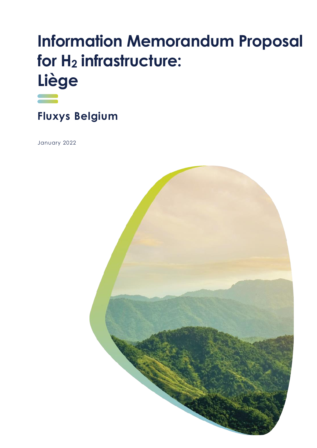# **Information Memorandum Proposal for H<sup>2</sup> infrastructure: Liège**



**Fluxys Belgium** 

January 2022

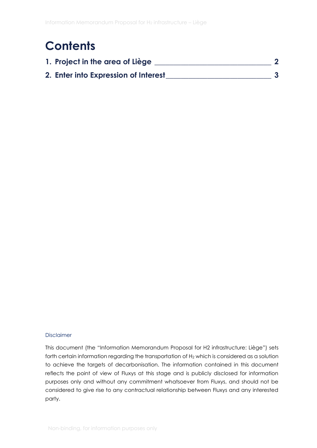### **Contents**

| 1. Project in the area of Liège      |  |
|--------------------------------------|--|
| 2. Enter into Expression of Interest |  |

#### Disclaimer

This document (the "Information Memorandum Proposal for H2 infrastructure: Liège") sets forth certain information regarding the transportation of H<sub>2</sub> which is considered as a solution to achieve the targets of decarbonisation. The information contained in this document reflects the point of view of Fluxys at this stage and is publicly disclosed for information purposes only and without any commitment whatsoever from Fluxys, and should not be considered to give rise to any contractual relationship between Fluxys and any interested party.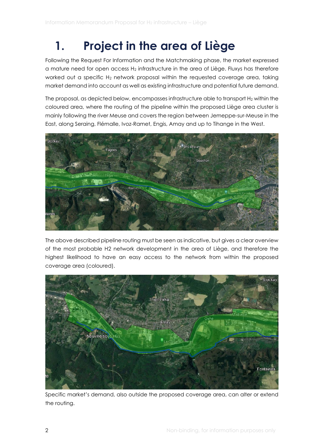# <span id="page-2-0"></span>**1. Project in the area of Liège**

Following the Request For Information and the Matchmaking phase, the market expressed a mature need for open access H<sup>2</sup> infrastructure in the area of Liège. Fluxys has therefore worked out a specific H<sub>2</sub> network proposal within the requested coverage area, taking market demand into account as well as existing infrastructure and potential future demand.

The proposal, as depicted below, encompasses infrastructure able to transport H<sub>2</sub> within the coloured area, where the routing of the pipeline within the proposed Liège area cluster is mainly following the river Meuse and covers the region between Jemeppe-sur-Meuse in the East, along Seraing, Flémalle, Ivoz-Ramet, Engis, Amay and up to Tihange in the West.



The above described pipeline routing must be seen as indicative, but gives a clear overview of the most probable H2 network development in the area of Liège, and therefore the highest likelihood to have an easy access to the network from within the proposed coverage area (coloured).



Specific market's demand, also outside the proposed coverage area, can alter or extend the routing.